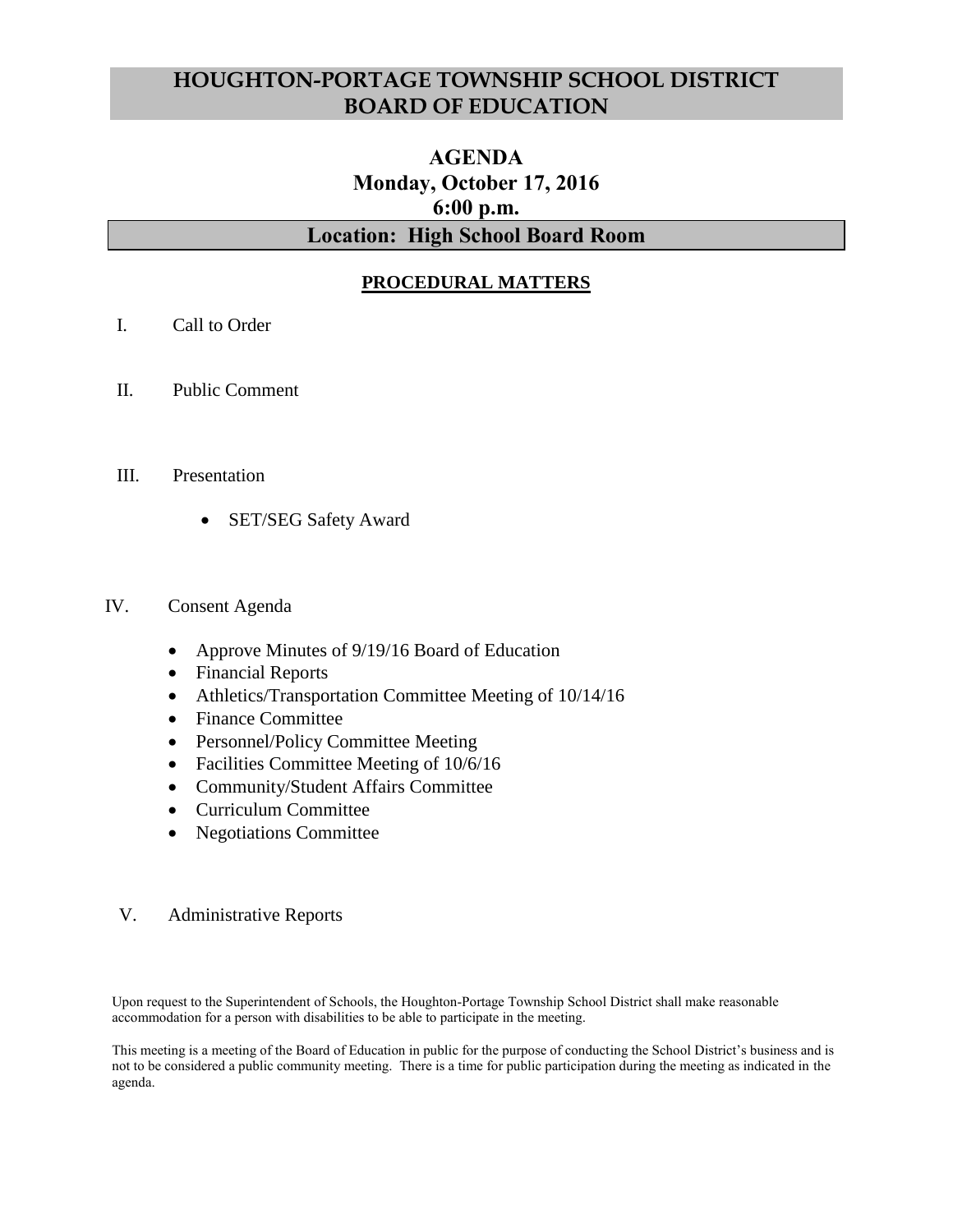# **HOUGHTON-PORTAGE TOWNSHIP SCHOOL DISTRICT BOARD OF EDUCATION**

# **AGENDA Monday, October 17, 2016 6:00 p.m. Location: High School Board Room**

# **PROCEDURAL MATTERS**

- I. Call to Order
- II. Public Comment
- III. Presentation
	- SET/SEG Safety Award

#### IV. Consent Agenda

- Approve Minutes of 9/19/16 Board of Education
- Financial Reports
- Athletics/Transportation Committee Meeting of 10/14/16
- Finance Committee
- Personnel/Policy Committee Meeting
- Facilities Committee Meeting of  $10/6/16$
- Community/Student Affairs Committee
- Curriculum Committee
- Negotiations Committee

#### V. Administrative Reports

Upon request to the Superintendent of Schools, the Houghton-Portage Township School District shall make reasonable accommodation for a person with disabilities to be able to participate in the meeting.

This meeting is a meeting of the Board of Education in public for the purpose of conducting the School District's business and is not to be considered a public community meeting. There is a time for public participation during the meeting as indicated in the agenda.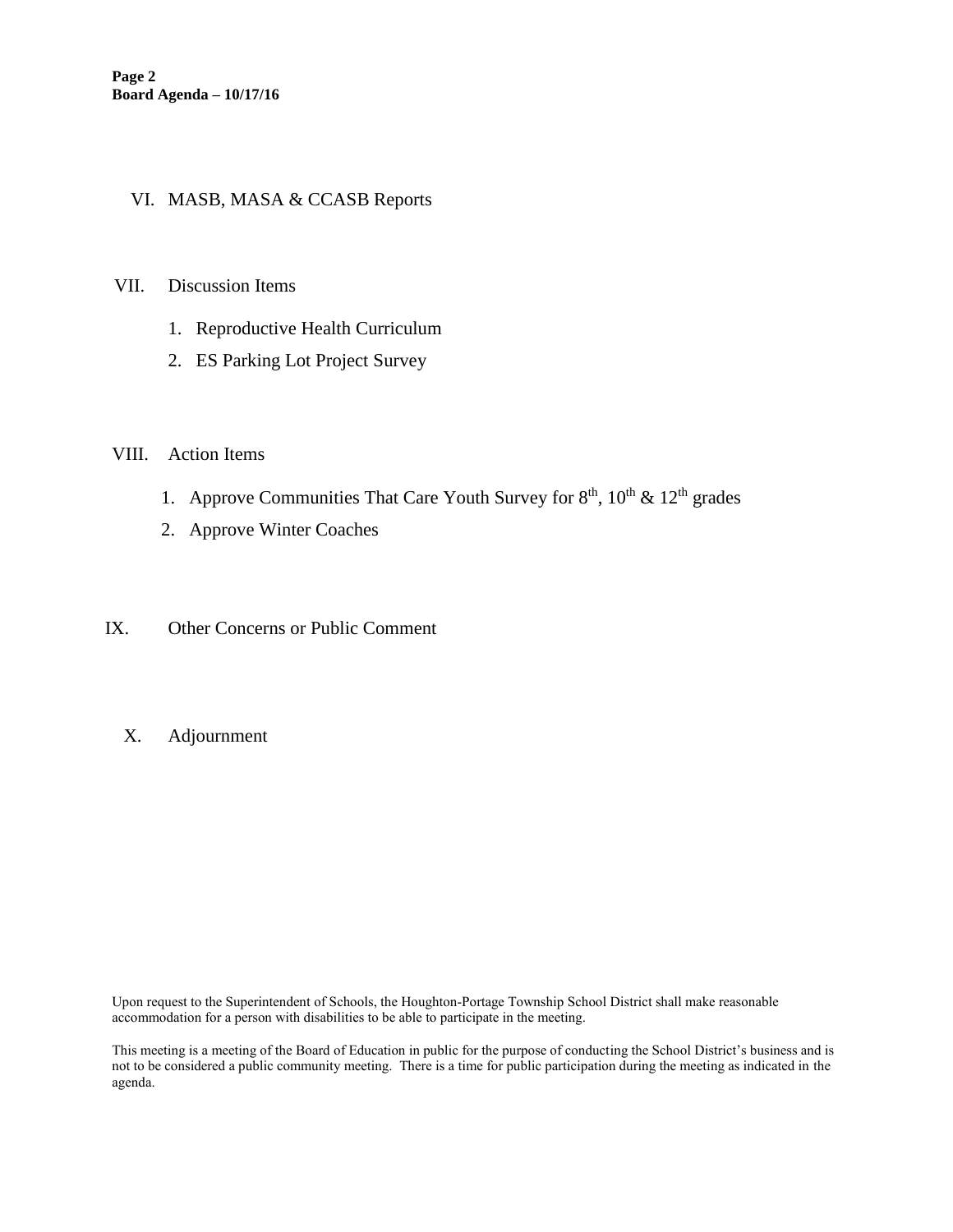#### VI. MASB, MASA & CCASB Reports

#### VII. Discussion Items

- 1. Reproductive Health Curriculum
- 2. ES Parking Lot Project Survey

#### VIII. Action Items

- 1. Approve Communities That Care Youth Survey for  $8<sup>th</sup>$ ,  $10<sup>th</sup>$  &  $12<sup>th</sup>$  grades
- 2. Approve Winter Coaches
- IX. Other Concerns or Public Comment
	- X. Adjournment

Upon request to the Superintendent of Schools, the Houghton-Portage Township School District shall make reasonable accommodation for a person with disabilities to be able to participate in the meeting.

This meeting is a meeting of the Board of Education in public for the purpose of conducting the School District's business and is not to be considered a public community meeting. There is a time for public participation during the meeting as indicated in the agenda.